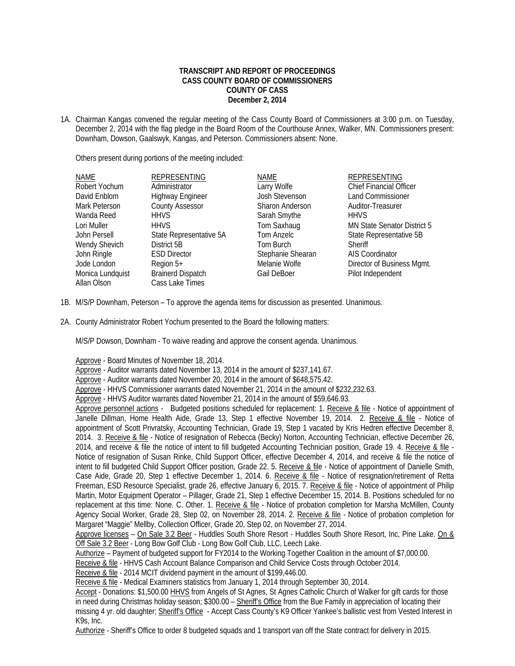## **TRANSCRIPT AND REPORT OF PROCEEDINGS CASS COUNTY BOARD OF COMMISSIONERS COUNTY OF CASS December 2, 2014**

1A. Chairman Kangas convened the regular meeting of the Cass County Board of Commissioners at 3:00 p.m. on Tuesday, December 2, 2014 with the flag pledge in the Board Room of the Courthouse Annex, Walker, MN. Commissioners present: Downham, Dowson, Gaalswyk, Kangas, and Peterson. Commissioners absent: None.

Others present during portions of the meeting included:

| <b>NAME</b>      | <b>REPRESENTING</b>      | <b>NAME</b>            | <b>REPRESENTING</b>            |
|------------------|--------------------------|------------------------|--------------------------------|
| Robert Yochum    | Administrator            | Larry Wolfe            | <b>Chief Financial Officer</b> |
| David Enblom     | <b>Highway Engineer</b>  | Josh Stevenson         | <b>Land Commissioner</b>       |
| Mark Peterson    | <b>County Assessor</b>   | <b>Sharon Anderson</b> | Auditor-Treasurer              |
| Wanda Reed       | <b>HHVS</b>              | Sarah Smythe           | <b>HHVS</b>                    |
| Lori Muller      | <b>HHVS</b>              | Tom Saxhaug            | MN State Senator District 5    |
| John Persell     | State Representative 5A  | Tom Anzelc             | State Representative 5B        |
| Wendy Shevich    | District 5B              | Tom Burch              | Sheriff                        |
| John Ringle      | <b>ESD Director</b>      | Stephanie Shearan      | AIS Coordinator                |
| Jode London      | Region 5+                | Melanie Wolfe          | Director of Business Mgmt.     |
| Monica Lundquist | <b>Brainerd Dispatch</b> | Gail DeBoer            | Pilot Independent              |
| Allan Olson      | Cass Lake Times          |                        |                                |

- 1B. M/S/P Downham, Peterson To approve the agenda items for discussion as presented. Unanimous.
- 2A. County Administrator Robert Yochum presented to the Board the following matters:

M/S/P Dowson, Downham - To waive reading and approve the consent agenda. Unanimous.

Approve - Board Minutes of November 18, 2014.

Approve - Auditor warrants dated November 13, 2014 in the amount of \$237,141.67.

Approve - Auditor warrants dated November 20, 2014 in the amount of \$648,575.42.

Approve - HHVS Commissioner warrants dated November 21, 2014 in the amount of \$232,232.63.

Approve - HHVS Auditor warrants dated November 21, 2014 in the amount of \$59,646.93.

Approve personnel actions - Budgeted positions scheduled for replacement: 1. Receive & file - Notice of appointment of Janelle Dillman, Home Health Aide, Grade 13, Step 1 effective November 19, 2014. 2. Receive & file - Notice of appointment of Scott Privratsky, Accounting Technician, Grade 19, Step 1 vacated by Kris Hedren effective December 8, 2014. 3. Receive & file - Notice of resignation of Rebecca (Becky) Norton, Accounting Technician, effective December 26, 2014, and receive & file the notice of intent to fill budgeted Accounting Technician position, Grade 19. 4. Receive & file - Notice of resignation of Susan Rinke, Child Support Officer, effective December 4, 2014, and receive & file the notice of intent to fill budgeted Child Support Officer position, Grade 22. 5. Receive & file - Notice of appointment of Danielle Smith, Case Aide, Grade 20, Step 1 effective December 1, 2014. 6. Receive & file - Notice of resignation/retirement of Retta Freeman, ESD Resource Specialist, grade 26, effective January 6, 2015. 7. Receive & file - Notice of appointment of Philip Martin, Motor Equipment Operator – Pillager, Grade 21, Step 1 effective December 15, 2014. B. Positions scheduled for no replacement at this time: None. C. Other. 1. Receive & file - Notice of probation completion for Marsha McMillen, County Agency Social Worker, Grade 28, Step 02, on November 28, 2014. 2. Receive & file - Notice of probation completion for Margaret "Maggie" Mellby, Collection Officer, Grade 20, Step 02, on November 27, 2014.

Approve licenses – On Sale 3.2 Beer - Huddles South Shore Resort - Huddles South Shore Resort, Inc, Pine Lake. On & Off Sale 3.2 Beer - Long Bow Golf Club - Long Bow Golf Club, LLC, Leech Lake.

Authorize – Payment of budgeted support for FY2014 to the Working Together Coalition in the amount of \$7,000.00.

Receive & file - HHVS Cash Account Balance Comparison and Child Service Costs through October 2014.

Receive & file - 2014 MCIT dividend payment in the amount of \$199,446.00.

Receive & file - Medical Examiners statistics from January 1, 2014 through September 30, 2014.

Accept - Donations: \$1,500.00 HHVS from Angels of St Agnes, St Agnes Catholic Church of Walker for gift cards for those in need during Christmas holiday season; \$300.00 – Sheriff's Office from the Bue Family in appreciation of locating their missing 4 yr. old daughter; Sheriff's Office - Accept Cass County's K9 Officer Yankee's ballistic vest from Vested Interest in K9s, Inc.

Authorize - Sheriff's Office to order 8 budgeted squads and 1 transport van off the State contract for delivery in 2015.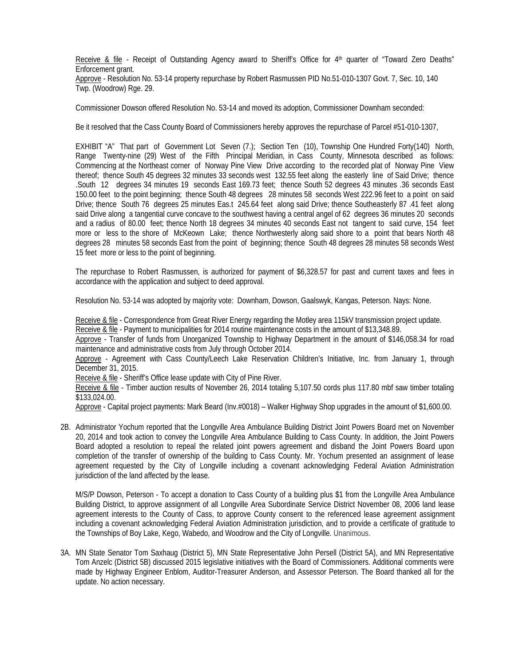Receive & file - Receipt of Outstanding Agency award to Sheriff's Office for 4<sup>th</sup> quarter of "Toward Zero Deaths" Enforcement grant.

 Approve - Resolution No. 53-14 property repurchase by Robert Rasmussen PID No.51-010-1307 Govt. 7, Sec. 10, 140 Twp. (Woodrow) Rge. 29.

Commissioner Dowson offered Resolution No. 53-14 and moved its adoption, Commissioner Downham seconded:

Be it resolved that the Cass County Board of Commissioners hereby approves the repurchase of Parcel #51-010-1307,

EXHIBIT "A" That part of Government Lot Seven (7.); Section Ten (10), Township One Hundred Forty(140) North, Range Twenty-nine (29) West of the Fifth Principal Meridian, in Cass County, Minnesota described as follows: Commencing at the Northeast corner of Norway Pine View Drive according to the recorded plat of Norway Pine View thereof; thence South 45 degrees 32 minutes 33 seconds west 132.55 feet along the easterly line of Said Drive; thence .South 12 degrees 34 minutes 19 seconds East 169.73 feet; thence South 52 degrees 43 minutes .36 seconds East 150.00 feet to the point beginning; thence South 48 degrees 28 minutes 58 seconds West 222.96 feet to a point on said Drive; thence South 76 degrees 25 minutes Eas.t 245.64 feet along said Drive; thence Southeasterly 87 .41 feet along said Drive along a tangential curve concave to the southwest having a central angel of 62 degrees 36 minutes 20 seconds and a radius of 80.00 feet; thence North 18 degrees 34 minutes 40 seconds East not tangent to said curve, 154 feet more or less to the shore of McKeown Lake; thence Northwesterly along said shore to a point that bears North 48 degrees 28 minutes 58 seconds East from the point of beginning; thence South 48 degrees 28 minutes 58 seconds West 15 feet more or less to the point of beginning.

The repurchase to Robert Rasmussen, is authorized for payment of \$6,328.57 for past and current taxes and fees in accordance with the application and subject to deed approval.

Resolution No. 53-14 was adopted by majority vote: Downham, Dowson, Gaalswyk, Kangas, Peterson. Nays: None.

Receive & file - Correspondence from Great River Energy regarding the Motley area 115kV transmission project update. Receive & file - Payment to municipalities for 2014 routine maintenance costs in the amount of \$13,348.89.

 Approve - Transfer of funds from Unorganized Township to Highway Department in the amount of \$146,058.34 for road maintenance and administrative costs from July through October 2014.

 Approve - Agreement with Cass County/Leech Lake Reservation Children's Initiative, Inc. from January 1, through December 31, 2015.

Receive & file - Sheriff's Office lease update with City of Pine River.

Receive & file - Timber auction results of November 26, 2014 totaling 5,107.50 cords plus 117.80 mbf saw timber totaling \$133,024.00.

Approve - Capital project payments: Mark Beard (Inv.#0018) – Walker Highway Shop upgrades in the amount of \$1,600.00.

2B. Administrator Yochum reported that the Longville Area Ambulance Building District Joint Powers Board met on November 20, 2014 and took action to convey the Longville Area Ambulance Building to Cass County. In addition, the Joint Powers Board adopted a resolution to repeal the related joint powers agreement and disband the Joint Powers Board upon completion of the transfer of ownership of the building to Cass County. Mr. Yochum presented an assignment of lease agreement requested by the City of Longville including a covenant acknowledging Federal Aviation Administration jurisdiction of the land affected by the lease.

M/S/P Dowson, Peterson - To accept a donation to Cass County of a building plus \$1 from the Longville Area Ambulance Building District, to approve assignment of all Longville Area Subordinate Service District November 08, 2006 land lease agreement interests to the County of Cass, to approve County consent to the referenced lease agreement assignment including a covenant acknowledging Federal Aviation Administration jurisdiction, and to provide a certificate of gratitude to the Townships of Boy Lake, Kego, Wabedo, and Woodrow and the City of Longville. Unanimous.

3A. MN State Senator Tom Saxhaug (District 5), MN State Representative John Persell (District 5A), and MN Representative Tom Anzelc (District 5B) discussed 2015 legislative initiatives with the Board of Commissioners. Additional comments were made by Highway Engineer Enblom, Auditor-Treasurer Anderson, and Assessor Peterson. The Board thanked all for the update. No action necessary.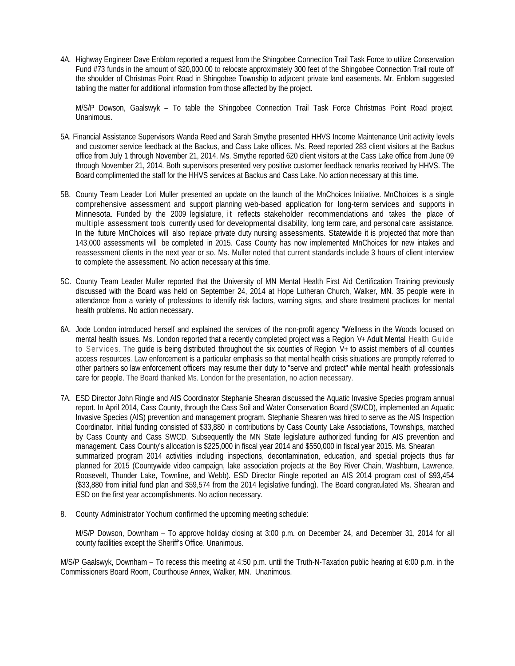4A. Highway Engineer Dave Enblom reported a request from the Shingobee Connection Trail Task Force to utilize Conservation Fund #73 funds in the amount of \$20,000.00 to relocate approximately 300 feet of the Shingobee Connection Trail route off the shoulder of Christmas Point Road in Shingobee Township to adjacent private land easements. Mr. Enblom suggested tabling the matter for additional information from those affected by the project.

 M/S/P Dowson, Gaalswyk – To table the Shingobee Connection Trail Task Force Christmas Point Road project. Unanimous.

- 5A. Financial Assistance Supervisors Wanda Reed and Sarah Smythe presented HHVS Income Maintenance Unit activity levels and customer service feedback at the Backus, and Cass Lake offices. Ms. Reed reported 283 client visitors at the Backus office from July 1 through November 21, 2014. Ms. Smythe reported 620 client visitors at the Cass Lake office from June 09 through November 21, 2014. Both supervisors presented very positive customer feedback remarks received by HHVS. The Board complimented the staff for the HHVS services at Backus and Cass Lake. No action necessary at this time.
- 5B. County Team Leader Lori Muller presented an update on the launch of the MnChoices Initiative. MnChoices is a single comprehensive assessment and support planning web-based application for long-term services and supports in Minnesota. Funded by the 2009 legislature, it reflects stakeholder recommendations and takes the place of multiple assessment tools currently used for developmental disability, long term care, and personal care assistance. In the future MnChoices will also replace private duty nursing assessments. Statewide it is projected that more than 143,000 assessments will be completed in 2015. Cass County has now implemented MnChoices for new intakes and reassessment clients in the next year or so. Ms. Muller noted that current standards include 3 hours of client interview to complete the assessment. No action necessary at this time.
- 5C. County Team Leader Muller reported that the University of MN Mental Health First Aid Certification Training previously discussed with the Board was held on September 24, 2014 at Hope Lutheran Church, Walker, MN. 35 people were in attendance from a variety of professions to identify risk factors, warning signs, and share treatment practices for mental health problems. No action necessary.
- 6A. Jode London introduced herself and explained the services of the non-profit agency "Wellness in the Woods focused on mental health issues. Ms. London reported that a recently completed project was a Region V+ Adult Mental Health Guide to Services. The guide is being distributed throughout the six counties of Region V+ to assist members of all counties access resources. Law enforcement is a particular emphasis so that mental health crisis situations are promptly referred to other partners so law enforcement officers may resume their duty to "serve and protect" while mental health professionals care for people. The Board thanked Ms. London for the presentation, no action necessary.
- 7A. ESD Director John Ringle and AIS Coordinator Stephanie Shearan discussed the Aquatic Invasive Species program annual report. In April 2014, Cass County, through the Cass Soil and Water Conservation Board (SWCD), implemented an Aquatic Invasive Species (AIS) prevention and management program. Stephanie Shearen was hired to serve as the AIS Inspection Coordinator. Initial funding consisted of \$33,880 in contributions by Cass County Lake Associations, Townships, matched by Cass County and Cass SWCD. Subsequently the MN State legislature authorized funding for AIS prevention and management. Cass County's allocation is \$225,000 in fiscal year 2014 and \$550,000 in fiscal year 2015. Ms. Shearan summarized program 2014 activities including inspections, decontamination, education, and special projects thus far planned for 2015 (Countywide video campaign, lake association projects at the Boy River Chain, Washburn, Lawrence, Roosevelt, Thunder Lake, Townline, and Webb). ESD Director Ringle reported an AIS 2014 program cost of \$93,454 (\$33,880 from initial fund plan and \$59,574 from the 2014 legislative funding). The Board congratulated Ms. Shearan and ESD on the first year accomplishments. No action necessary.
- 8. County Administrator Yochum confirmed the upcoming meeting schedule:

 M/S/P Dowson, Downham – To approve holiday closing at 3:00 p.m. on December 24, and December 31, 2014 for all county facilities except the Sheriff's Office. Unanimous.

 M/S/P Gaalswyk, Downham – To recess this meeting at 4:50 p.m. until the Truth-N-Taxation public hearing at 6:00 p.m. in the Commissioners Board Room, Courthouse Annex, Walker, MN. Unanimous.